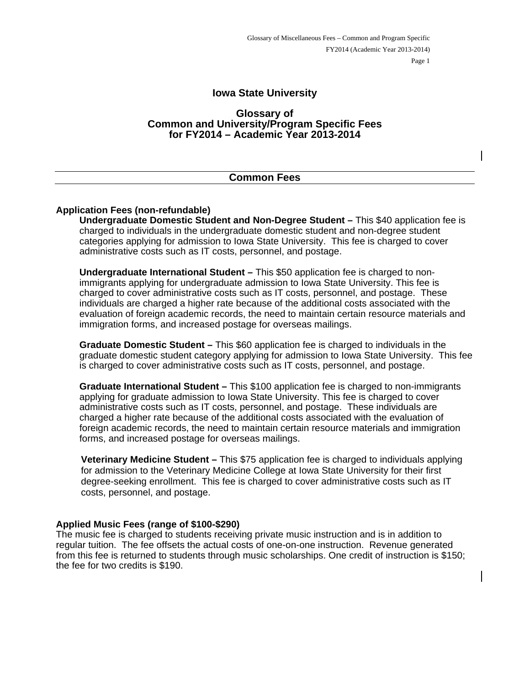# **Iowa State University**

#### **Glossary of Common and University/Program Specific Fees for FY2014 – Academic Year 2013-2014**

| <b>Common Fees</b> |
|--------------------|
|                    |

#### **Application Fees (non-refundable)**

**Undergraduate Domestic Student and Non-Degree Student –** This \$40 application fee is charged to individuals in the undergraduate domestic student and non-degree student categories applying for admission to Iowa State University. This fee is charged to cover administrative costs such as IT costs, personnel, and postage.

**Undergraduate International Student –** This \$50 application fee is charged to nonimmigrants applying for undergraduate admission to Iowa State University. This fee is charged to cover administrative costs such as IT costs, personnel, and postage. These individuals are charged a higher rate because of the additional costs associated with the evaluation of foreign academic records, the need to maintain certain resource materials and immigration forms, and increased postage for overseas mailings.

**Graduate Domestic Student –** This \$60 application fee is charged to individuals in the graduate domestic student category applying for admission to Iowa State University. This fee is charged to cover administrative costs such as IT costs, personnel, and postage.

**Graduate International Student –** This \$100 application fee is charged to non-immigrants applying for graduate admission to Iowa State University. This fee is charged to cover administrative costs such as IT costs, personnel, and postage. These individuals are charged a higher rate because of the additional costs associated with the evaluation of foreign academic records, the need to maintain certain resource materials and immigration forms, and increased postage for overseas mailings.

**Veterinary Medicine Student –** This \$75 application fee is charged to individuals applying for admission to the Veterinary Medicine College at Iowa State University for their first degree-seeking enrollment. This fee is charged to cover administrative costs such as IT costs, personnel, and postage.

#### **Applied Music Fees (range of \$100-\$290)**

The music fee is charged to students receiving private music instruction and is in addition to regular tuition. The fee offsets the actual costs of one-on-one instruction. Revenue generated from this fee is returned to students through music scholarships. One credit of instruction is \$150; the fee for two credits is \$190.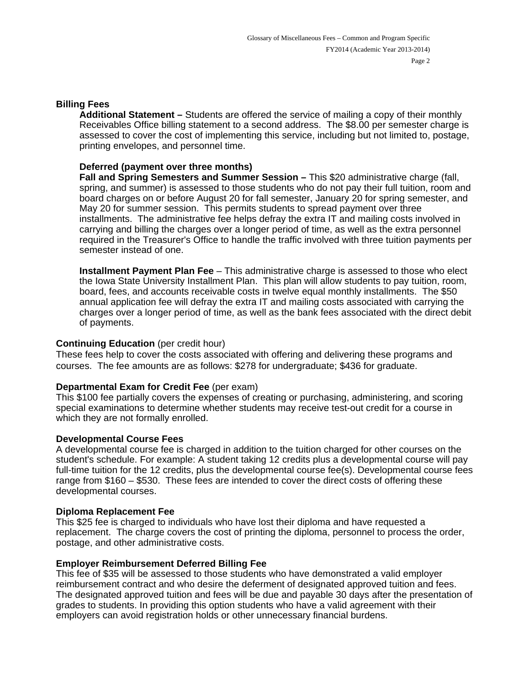#### **Billing Fees**

**Additional Statement –** Students are offered the service of mailing a copy of their monthly Receivables Office billing statement to a second address. The \$8.00 per semester charge is assessed to cover the cost of implementing this service, including but not limited to, postage, printing envelopes, and personnel time.

## **Deferred (payment over three months)**

**Fall and Spring Semesters and Summer Session – This \$20 administrative charge (fall,** spring, and summer) is assessed to those students who do not pay their full tuition, room and board charges on or before August 20 for fall semester, January 20 for spring semester, and May 20 for summer session. This permits students to spread payment over three installments. The administrative fee helps defray the extra IT and mailing costs involved in carrying and billing the charges over a longer period of time, as well as the extra personnel required in the Treasurer's Office to handle the traffic involved with three tuition payments per semester instead of one.

**Installment Payment Plan Fee** – This administrative charge is assessed to those who elect the Iowa State University Installment Plan. This plan will allow students to pay tuition, room, board, fees, and accounts receivable costs in twelve equal monthly installments. The \$50 annual application fee will defray the extra IT and mailing costs associated with carrying the charges over a longer period of time, as well as the bank fees associated with the direct debit of payments.

### **Continuing Education** (per credit hour)

These fees help to cover the costs associated with offering and delivering these programs and courses. The fee amounts are as follows: \$278 for undergraduate; \$436 for graduate.

# **Departmental Exam for Credit Fee** (per exam)

This \$100 fee partially covers the expenses of creating or purchasing, administering, and scoring special examinations to determine whether students may receive test-out credit for a course in which they are not formally enrolled.

# **Developmental Course Fees**

A developmental course fee is charged in addition to the tuition charged for other courses on the student's schedule. For example: A student taking 12 credits plus a developmental course will pay full-time tuition for the 12 credits, plus the developmental course fee(s). Developmental course fees range from \$160 – \$530. These fees are intended to cover the direct costs of offering these developmental courses.

#### **Diploma Replacement Fee**

This \$25 fee is charged to individuals who have lost their diploma and have requested a replacement. The charge covers the cost of printing the diploma, personnel to process the order, postage, and other administrative costs.

#### **Employer Reimbursement Deferred Billing Fee**

This fee of \$35 will be assessed to those students who have demonstrated a valid employer reimbursement contract and who desire the deferment of designated approved tuition and fees. The designated approved tuition and fees will be due and payable 30 days after the presentation of grades to students. In providing this option students who have a valid agreement with their employers can avoid registration holds or other unnecessary financial burdens.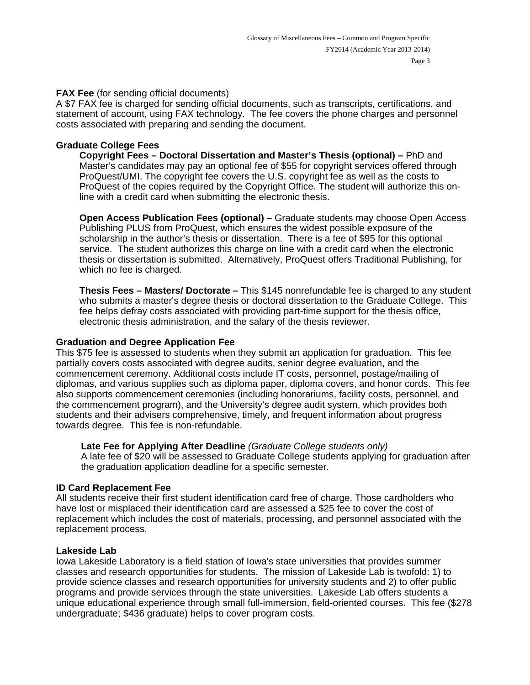# **FAX Fee** (for sending official documents)

A \$7 FAX fee is charged for sending official documents, such as transcripts, certifications, and statement of account, using FAX technology. The fee covers the phone charges and personnel costs associated with preparing and sending the document.

# **Graduate College Fees**

 **Copyright Fees – Doctoral Dissertation and Master's Thesis (optional) –** PhD and Master's candidates may pay an optional fee of \$55 for copyright services offered through ProQuest/UMI. The copyright fee covers the U.S. copyright fee as well as the costs to ProQuest of the copies required by the Copyright Office. The student will authorize this online with a credit card when submitting the electronic thesis.

 **Open Access Publication Fees (optional) –** Graduate students may choose Open Access Publishing PLUS from ProQuest, which ensures the widest possible exposure of the scholarship in the author's thesis or dissertation. There is a fee of \$95 for this optional service. The student authorizes this charge on line with a credit card when the electronic thesis or dissertation is submitted. Alternatively, ProQuest offers Traditional Publishing, for which no fee is charged.

 **Thesis Fees – Masters/ Doctorate –** This \$145 nonrefundable fee is charged to any student who submits a master's degree thesis or doctoral dissertation to the Graduate College. This fee helps defray costs associated with providing part-time support for the thesis office, electronic thesis administration, and the salary of the thesis reviewer.

# **Graduation and Degree Application Fee**

This \$75 fee is assessed to students when they submit an application for graduation. This fee partially covers costs associated with degree audits, senior degree evaluation, and the commencement ceremony. Additional costs include IT costs, personnel, postage/mailing of diplomas, and various supplies such as diploma paper, diploma covers, and honor cords. This fee also supports commencement ceremonies (including honorariums, facility costs, personnel, and the commencement program), and the University's degree audit system, which provides both students and their advisers comprehensive, timely, and frequent information about progress towards degree. This fee is non-refundable.

# **Late Fee for Applying After Deadline** *(Graduate College students only)*

A late fee of \$20 will be assessed to Graduate College students applying for graduation after the graduation application deadline for a specific semester.

# **ID Card Replacement Fee**

All students receive their first student identification card free of charge. Those cardholders who have lost or misplaced their identification card are assessed a \$25 fee to cover the cost of replacement which includes the cost of materials, processing, and personnel associated with the replacement process.

# **Lakeside Lab**

Iowa Lakeside Laboratory is a field station of Iowa's state universities that provides summer classes and research opportunities for students. The mission of Lakeside Lab is twofold: 1) to provide science classes and research opportunities for university students and 2) to offer public programs and provide services through the state universities. Lakeside Lab offers students a unique educational experience through small full-immersion, field-oriented courses. This fee (\$278 undergraduate; \$436 graduate) helps to cover program costs.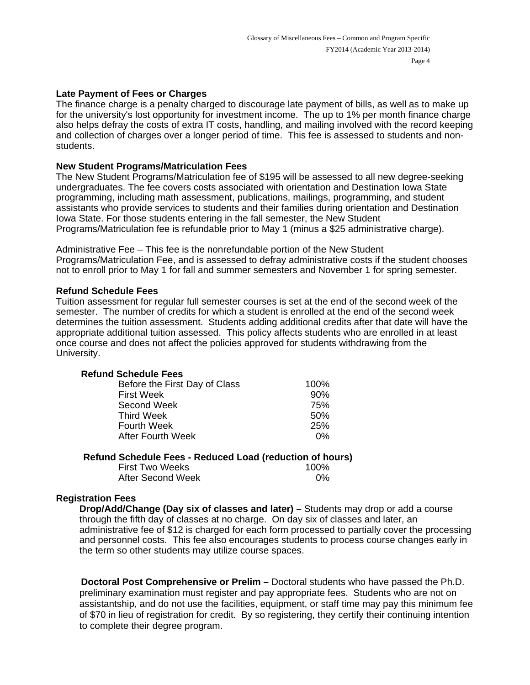### **Late Payment of Fees or Charges**

The finance charge is a penalty charged to discourage late payment of bills, as well as to make up for the university's lost opportunity for investment income. The up to 1% per month finance charge also helps defray the costs of extra IT costs, handling, and mailing involved with the record keeping and collection of charges over a longer period of time. This fee is assessed to students and nonstudents.

#### **New Student Programs/Matriculation Fees**

The New Student Programs/Matriculation fee of \$195 will be assessed to all new degree-seeking undergraduates. The fee covers costs associated with orientation and Destination Iowa State programming, including math assessment, publications, mailings, programming, and student assistants who provide services to students and their families during orientation and Destination Iowa State. For those students entering in the fall semester, the New Student Programs/Matriculation fee is refundable prior to May 1 (minus a \$25 administrative charge).

Administrative Fee – This fee is the nonrefundable portion of the New Student Programs/Matriculation Fee, and is assessed to defray administrative costs if the student chooses not to enroll prior to May 1 for fall and summer semesters and November 1 for spring semester.

### **Refund Schedule Fees**

Tuition assessment for regular full semester courses is set at the end of the second week of the semester. The number of credits for which a student is enrolled at the end of the second week determines the tuition assessment. Students adding additional credits after that date will have the appropriate additional tuition assessed. This policy affects students who are enrolled in at least once course and does not affect the policies approved for students withdrawing from the University.

| <b>Refund Schedule Fees</b>   |      |
|-------------------------------|------|
| Before the First Day of Class | 100% |
|                               | ~~~′ |

|                          | .   |
|--------------------------|-----|
| <b>First Week</b>        | 90% |
| Second Week              | 75% |
| Third Week               | 50% |
| Fourth Week              | 25% |
| <b>After Fourth Week</b> | በ%  |
|                          |     |

### **Refund Schedule Fees - Reduced Load (reduction of hours)**

| <b>First Two Weeks</b> | 100%  |
|------------------------|-------|
| After Second Week      | $0\%$ |

#### **Registration Fees**

 **Drop/Add/Change (Day six of classes and later) –** Students may drop or add a course through the fifth day of classes at no charge. On day six of classes and later, an administrative fee of \$12 is charged for each form processed to partially cover the processing and personnel costs. This fee also encourages students to process course changes early in the term so other students may utilize course spaces.

**Doctoral Post Comprehensive or Prelim –** Doctoral students who have passed the Ph.D. preliminary examination must register and pay appropriate fees. Students who are not on assistantship, and do not use the facilities, equipment, or staff time may pay this minimum fee of \$70 in lieu of registration for credit. By so registering, they certify their continuing intention to complete their degree program.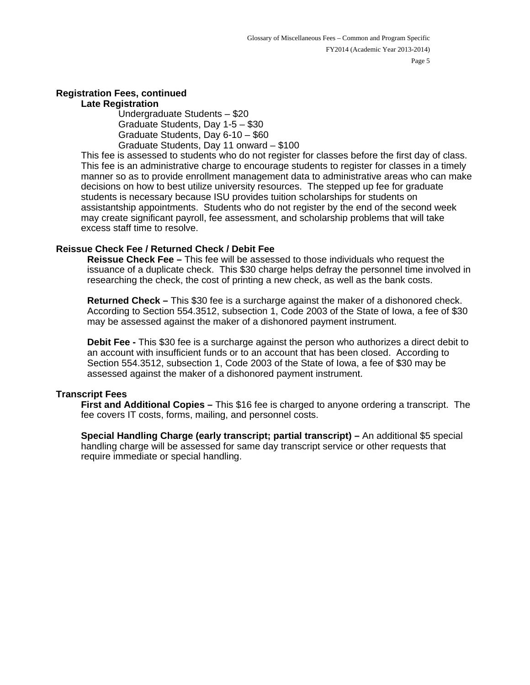# **Registration Fees, continued**

#### **Late Registration**

 Undergraduate Students – \$20 Graduate Students, Day 1-5 – \$30 Graduate Students, Day 6-10 – \$60 Graduate Students, Day 11 onward – \$100

This fee is assessed to students who do not register for classes before the first day of class. This fee is an administrative charge to encourage students to register for classes in a timely manner so as to provide enrollment management data to administrative areas who can make decisions on how to best utilize university resources. The stepped up fee for graduate students is necessary because ISU provides tuition scholarships for students on assistantship appointments. Students who do not register by the end of the second week may create significant payroll, fee assessment, and scholarship problems that will take excess staff time to resolve.

# **Reissue Check Fee / Returned Check / Debit Fee**

**Reissue Check Fee –** This fee will be assessed to those individuals who request the issuance of a duplicate check. This \$30 charge helps defray the personnel time involved in researching the check, the cost of printing a new check, as well as the bank costs.

**Returned Check –** This \$30 fee is a surcharge against the maker of a dishonored check. According to Section 554.3512, subsection 1, Code 2003 of the State of Iowa, a fee of \$30 may be assessed against the maker of a dishonored payment instrument.

**Debit Fee -** This \$30 fee is a surcharge against the person who authorizes a direct debit to an account with insufficient funds or to an account that has been closed. According to Section 554.3512, subsection 1, Code 2003 of the State of Iowa, a fee of \$30 may be assessed against the maker of a dishonored payment instrument.

# **Transcript Fees**

**First and Additional Copies –** This \$16 fee is charged to anyone ordering a transcript. The fee covers IT costs, forms, mailing, and personnel costs.

**Special Handling Charge (early transcript; partial transcript) –** An additional \$5 special handling charge will be assessed for same day transcript service or other requests that require immediate or special handling.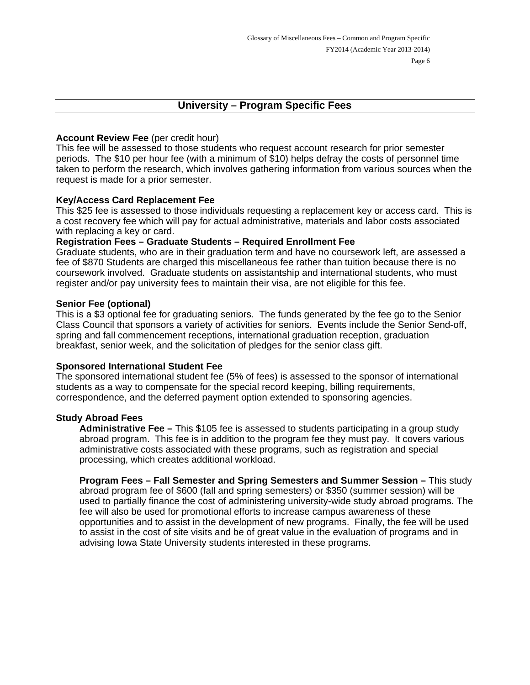# **University – Program Specific Fees**

### **Account Review Fee** (per credit hour)

This fee will be assessed to those students who request account research for prior semester periods. The \$10 per hour fee (with a minimum of \$10) helps defray the costs of personnel time taken to perform the research, which involves gathering information from various sources when the request is made for a prior semester.

### **Key/Access Card Replacement Fee**

This \$25 fee is assessed to those individuals requesting a replacement key or access card. This is a cost recovery fee which will pay for actual administrative, materials and labor costs associated with replacing a key or card.

# **Registration Fees – Graduate Students – Required Enrollment Fee**

Graduate students, who are in their graduation term and have no coursework left, are assessed a fee of \$870 Students are charged this miscellaneous fee rather than tuition because there is no coursework involved. Graduate students on assistantship and international students, who must register and/or pay university fees to maintain their visa, are not eligible for this fee.

#### **Senior Fee (optional)**

This is a \$3 optional fee for graduating seniors. The funds generated by the fee go to the Senior Class Council that sponsors a variety of activities for seniors. Events include the Senior Send-off, spring and fall commencement receptions, international graduation reception, graduation breakfast, senior week, and the solicitation of pledges for the senior class gift.

#### **Sponsored International Student Fee**

The sponsored international student fee (5% of fees) is assessed to the sponsor of international students as a way to compensate for the special record keeping, billing requirements, correspondence, and the deferred payment option extended to sponsoring agencies.

#### **Study Abroad Fees**

**Administrative Fee –** This \$105 fee is assessed to students participating in a group study abroad program. This fee is in addition to the program fee they must pay. It covers various administrative costs associated with these programs, such as registration and special processing, which creates additional workload.

**Program Fees – Fall Semester and Spring Semesters and Summer Session –** This study abroad program fee of \$600 (fall and spring semesters) or \$350 (summer session) will be used to partially finance the cost of administering university-wide study abroad programs. The fee will also be used for promotional efforts to increase campus awareness of these opportunities and to assist in the development of new programs. Finally, the fee will be used to assist in the cost of site visits and be of great value in the evaluation of programs and in advising Iowa State University students interested in these programs.